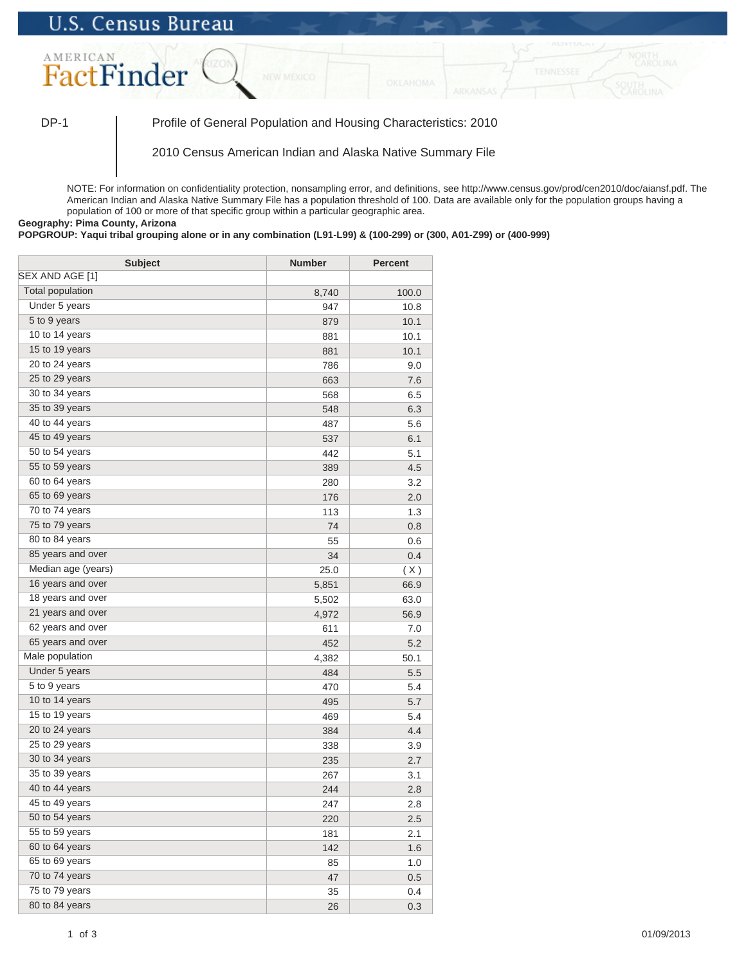## **U.S. Census Bureau**



DP-1 Profile of General Population and Housing Characteristics: 2010

2010 Census American Indian and Alaska Native Summary File

NOTE: For information on confidentiality protection, nonsampling error, and definitions, see http://www.census.gov/prod/cen2010/doc/aiansf.pdf. The American Indian and Alaska Native Summary File has a population threshold of 100. Data are available only for the population groups having a population of 100 or more of that specific group within a particular geographic area.

**Geography: Pima County, Arizona**

**POPGROUP: Yaqui tribal grouping alone or in any combination (L91-L99) & (100-299) or (300, A01-Z99) or (400-999)**

| <b>Subject</b>     | <b>Number</b> | <b>Percent</b> |
|--------------------|---------------|----------------|
| SEX AND AGE [1]    |               |                |
| Total population   | 8,740         | 100.0          |
| Under 5 years      | 947           | 10.8           |
| 5 to 9 years       | 879           | 10.1           |
| 10 to 14 years     | 881           | 10.1           |
| 15 to 19 years     | 881           | 10.1           |
| 20 to 24 years     | 786           | 9.0            |
| 25 to 29 years     | 663           | 7.6            |
| 30 to 34 years     | 568           | 6.5            |
| 35 to 39 years     | 548           | 6.3            |
| 40 to 44 years     | 487           | 5.6            |
| 45 to 49 years     | 537           | 6.1            |
| 50 to 54 years     | 442           | 5.1            |
| 55 to 59 years     | 389           | 4.5            |
| 60 to 64 years     | 280           | 3.2            |
| 65 to 69 years     | 176           | 2.0            |
| 70 to 74 years     | 113           | 1.3            |
| 75 to 79 years     | 74            | 0.8            |
| 80 to 84 years     | 55            | 0.6            |
| 85 years and over  | 34            | 0.4            |
| Median age (years) | 25.0          | (X)            |
| 16 years and over  | 5,851         | 66.9           |
| 18 years and over  | 5,502         | 63.0           |
| 21 years and over  | 4,972         | 56.9           |
| 62 years and over  | 611           | 7.0            |
| 65 years and over  | 452           | 5.2            |
| Male population    | 4,382         | 50.1           |
| Under 5 years      | 484           | 5.5            |
| 5 to 9 years       | 470           | 5.4            |
| 10 to 14 years     | 495           | 5.7            |
| 15 to 19 years     | 469           | 5.4            |
| 20 to 24 years     | 384           | 4.4            |
| 25 to 29 years     | 338           | 3.9            |
| 30 to 34 years     | 235           | 2.7            |
| 35 to 39 years     | 267           | 3.1            |
| 40 to 44 years     | 244           | 2.8            |
| 45 to 49 years     | 247           | 2.8            |
| 50 to 54 years     | 220           | 2.5            |
| 55 to 59 years     | 181           | 2.1            |
| 60 to 64 years     | 142           | 1.6            |
| 65 to 69 years     | 85            | 1.0            |
| 70 to 74 years     | 47            | 0.5            |
| 75 to 79 years     | 35            | 0.4            |
| 80 to 84 years     | 26            | 0.3            |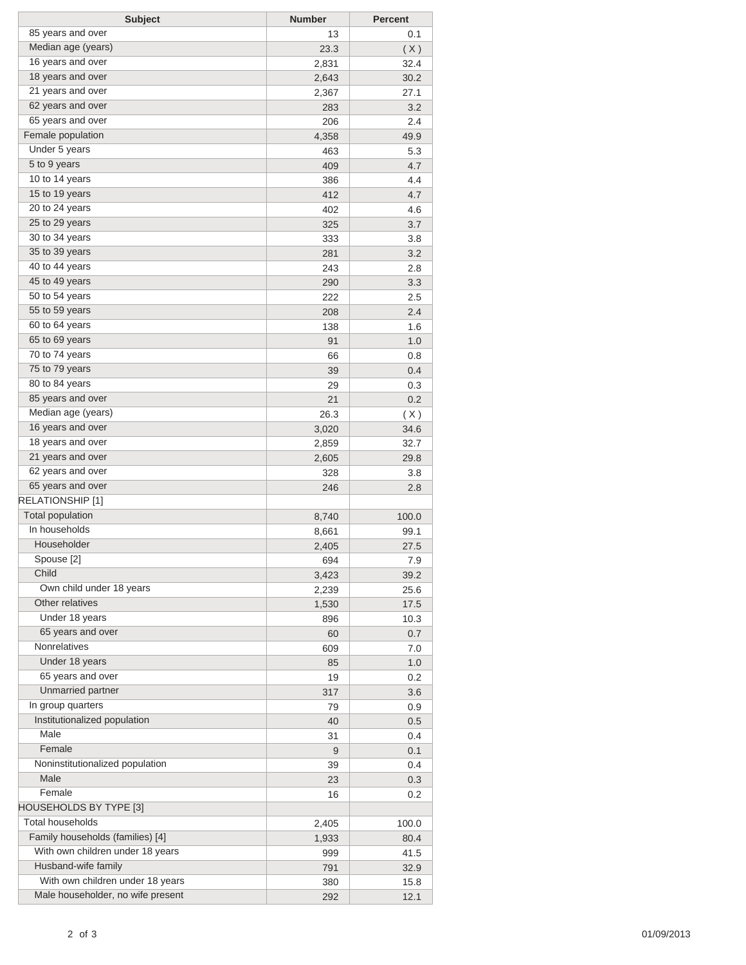| <b>Subject</b>                    | <b>Number</b> | Percent |
|-----------------------------------|---------------|---------|
| 85 years and over                 | 13            | 0.1     |
| Median age (years)                | 23.3          | (X)     |
| 16 years and over                 | 2,831         | 32.4    |
| 18 years and over                 | 2,643         | 30.2    |
| 21 years and over                 | 2,367         | 27.1    |
| 62 years and over                 | 283           | 3.2     |
| 65 years and over                 | 206           | 2.4     |
| Female population                 | 4,358         | 49.9    |
| Under 5 years                     | 463           | 5.3     |
| 5 to 9 years                      | 409           | 4.7     |
| 10 to 14 years                    | 386           | 4.4     |
| 15 to 19 years                    | 412           | 4.7     |
| 20 to 24 years                    | 402           | 4.6     |
| 25 to 29 years                    | 325           | 3.7     |
| 30 to 34 years                    | 333           | 3.8     |
| 35 to 39 years                    | 281           | 3.2     |
| 40 to 44 years                    | 243           | 2.8     |
| 45 to 49 years                    | 290           | 3.3     |
| 50 to 54 years                    | 222           | 2.5     |
| 55 to 59 years                    | 208           | 2.4     |
| 60 to 64 years                    | 138           | 1.6     |
| 65 to 69 years                    | 91            | 1.0     |
| 70 to 74 years                    | 66            | 0.8     |
| 75 to 79 years                    | 39            | 0.4     |
| 80 to 84 years                    | 29            | 0.3     |
| 85 years and over                 | 21            | 0.2     |
| Median age (years)                | 26.3          | (X)     |
| 16 years and over                 | 3,020         | 34.6    |
| 18 years and over                 |               | 32.7    |
| 21 years and over                 | 2,859         | 29.8    |
| 62 years and over                 | 2,605         |         |
| 65 years and over                 | 328           | 3.8     |
| RELATIONSHIP [1]                  | 246           | 2.8     |
| Total population                  |               |         |
| In households                     | 8,740         | 100.0   |
| Householder                       | 8,661         | 99.1    |
| Spouse [2]                        | 2,405         | 27.5    |
| Child                             | 694           | 7.9     |
| Own child under 18 years          | 3,423         | 39.2    |
| Other relatives                   | 2,239         | 25.6    |
| Under 18 years                    | 1,530         | 17.5    |
| 65 years and over                 | 896           | 10.3    |
| Nonrelatives                      | 60            | 0.7     |
| Under 18 years                    | 609           | 7.0     |
| 65 years and over                 | 85            | 1.0     |
| Unmarried partner                 | 19            | 0.2     |
| In group quarters                 | 317           | 3.6     |
| Institutionalized population      | 79            | 0.9     |
| Male                              | 40            | 0.5     |
| Female                            | 31            | 0.4     |
| Noninstitutionalized population   | 9             | 0.1     |
| Male                              | 39            | 0.4     |
| Female                            | 23            | 0.3     |
|                                   | 16            | 0.2     |
| HOUSEHOLDS BY TYPE [3]            |               |         |
| <b>Total households</b>           | 2,405         | 100.0   |
| Family households (families) [4]  | 1,933         | 80.4    |
| With own children under 18 years  | 999           | 41.5    |
| Husband-wife family               | 791           | 32.9    |
| With own children under 18 years  | 380           | 15.8    |
| Male householder, no wife present | 292           | 12.1    |